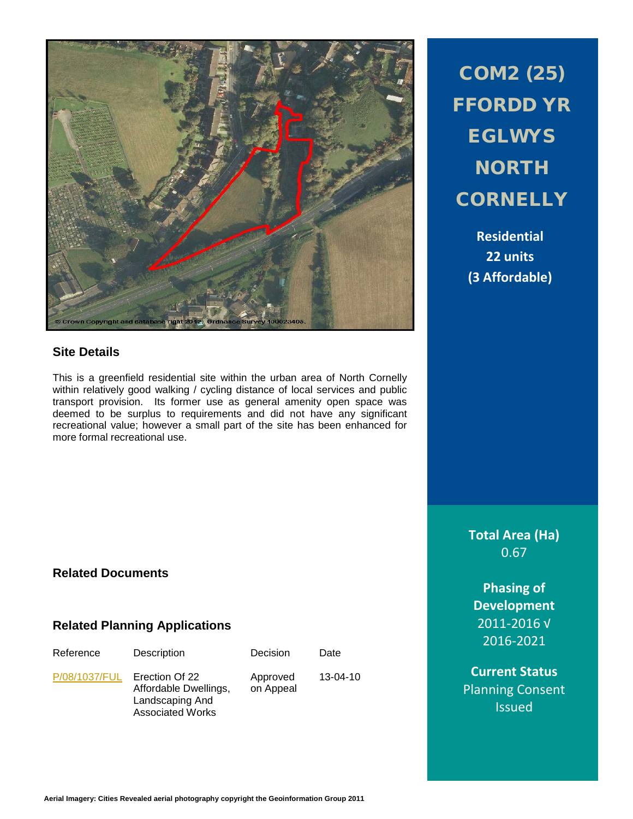

#### **Site Details**

This is a greenfield residential site within the urban area of North Cornelly within relatively good walking / cycling distance of local services and public transport provision. Its former use as general amenity open space was deemed to be surplus to requirements and did not have any significant recreational value; however a small part of the site has been enhanced for more formal recreational use.

Decision Date

13-04-10

Approved on Appeal

COM2 (25) FFORDD YR EGLWYS **NORTH CORNELLY** 

> **Residential 22 units (3 Affordable)**

**Total Area (Ha)** 0.67

**Phasing of Development** 2011-2016 √ 2016-2021

**Current Status** Planning Consent Issued

# **Related Documents**

#### **Related Planning Applications**

| Reference     | Description                                                                           |
|---------------|---------------------------------------------------------------------------------------|
| P/08/1037/FUL | Erection Of 22<br>Affordable Dwellings,<br>Landscaping And<br><b>Associated Works</b> |